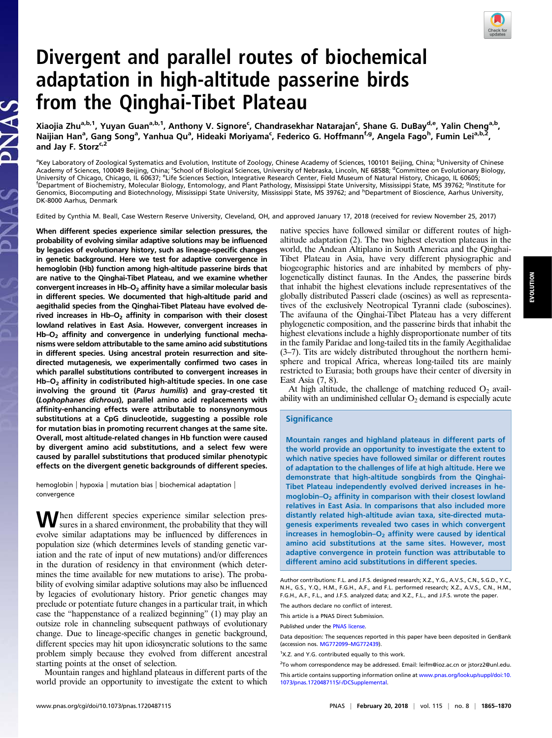

# Divergent and parallel routes of biochemical adaptation in high-altitude passerine birds from the Qinghai-Tibet Plateau

Xiaojia Zhu<sup>a,b,1</sup>, Yuyan Guan<sup>a,b,1</sup>, Anthony V. Signore<sup>c</sup>, Chandrasekhar Natarajan<sup>c</sup>, Shane G. DuBay<sup>d,e</sup>, Yalin Cheng<sup>a,b</sup>, Naijian Han<sup>a</sup>, Gang Song<sup>a</sup>, Yanhua Qu<sup>a</sup>, Hideaki Moriyama<sup>c</sup>, Federico G. Hoffmann<sup>f,g</sup>, Angela Fago<sup>h</sup>, Fumin Lei<sup>a,b,2</sup>, and Jay F. Storz $c,2$ 

<sup>a</sup>Key Laboratory of Zoological Systematics and Evolution, Institute of Zoology, Chinese Academy of Sciences, 100101 Beijing, China; <sup>b</sup>University of Chinese<br>Academy of Sciences, 100049 Beijing, China; <sup>c</sup>School of Biologi University of Chicago, Chicago, IL 60637; <sup>e</sup>Life Sciences Section, Integrative Research Center, Field Museum of Natural History, Chicago, IL 60605;<br><sup>f</sup>Department of Biochemistry, Molecular Biology, Entomology, and Plant P Department of Biochemistry, Molecular Biology, Entomology, and Plant Pathology, Mississippi State University, Mississippi State, MS 39762; <sup>g</sup>Institute for Genomics, Biocomputing and Biotechnology, Mississippi State University, Mississippi State, MS 39762; and <sup>h</sup>Department of Bioscience, Aarhus University, DK-8000 Aarhus, Denmark

Edited by Cynthia M. Beall, Case Western Reserve University, Cleveland, OH, and approved January 17, 2018 (received for review November 25, 2017)

When different species experience similar selection pressures, the probability of evolving similar adaptive solutions may be influenced by legacies of evolutionary history, such as lineage-specific changes in genetic background. Here we test for adaptive convergence in hemoglobin (Hb) function among high-altitude passerine birds that are native to the Qinghai-Tibet Plateau, and we examine whether convergent increases in  $Hb-O<sub>2</sub>$  affinity have a similar molecular basis in different species. We documented that high-altitude parid and aegithalid species from the Qinghai-Tibet Plateau have evolved derived increases in  $Hb-O<sub>2</sub>$  affinity in comparison with their closest lowland relatives in East Asia. However, convergent increases in  $Hb-O<sub>2</sub>$  affinity and convergence in underlying functional mechanisms were seldom attributable to the same amino acid substitutions in different species. Using ancestral protein resurrection and sitedirected mutagenesis, we experimentally confirmed two cases in which parallel substitutions contributed to convergent increases in  $Hb-O<sub>2</sub>$  affinity in codistributed high-altitude species. In one case involving the ground tit (Parus humilis) and gray-crested tit (Lophophanes dichrous), parallel amino acid replacements with affinity-enhancing effects were attributable to nonsynonymous substitutions at a CpG dinucleotide, suggesting a possible role for mutation bias in promoting recurrent changes at the same site. Overall, most altitude-related changes in Hb function were caused by divergent amino acid substitutions, and a select few were caused by parallel substitutions that produced similar phenotypic effects on the divergent genetic backgrounds of different species.

PNAS

hemoglobin | hypoxia | mutation bias | biochemical adaptation | convergence

When different species experience similar selection pres-<br>sures in a shared environment, the probability that they will evolve similar adaptations may be influenced by differences in population size (which determines levels of standing genetic variation and the rate of input of new mutations) and/or differences in the duration of residency in that environment (which determines the time available for new mutations to arise). The probability of evolving similar adaptive solutions may also be influenced by legacies of evolutionary history. Prior genetic changes may preclude or potentiate future changes in a particular trait, in which case the "happenstance of a realized beginning" (1) may play an outsize role in channeling subsequent pathways of evolutionary change. Due to lineage-specific changes in genetic background, different species may hit upon idiosyncratic solutions to the same problem simply because they evolved from different ancestral starting points at the onset of selection.

Mountain ranges and highland plateaus in different parts of the world provide an opportunity to investigate the extent to which native species have followed similar or different routes of highaltitude adaptation (2). The two highest elevation plateaus in the world, the Andean Altiplano in South America and the Qinghai-Tibet Plateau in Asia, have very different physiographic and biogeographic histories and are inhabited by members of phylogenetically distinct faunas. In the Andes, the passerine birds that inhabit the highest elevations include representatives of the globally distributed Passeri clade (oscines) as well as representatives of the exclusively Neotropical Tyranni clade (suboscines). The avifauna of the Qinghai-Tibet Plateau has a very different phylogenetic composition, and the passerine birds that inhabit the highest elevations include a highly disproportionate number of tits in the family Paridae and long-tailed tits in the family Aegithalidae (3–7). Tits are widely distributed throughout the northern hemisphere and tropical Africa, whereas long-tailed tits are mainly restricted to Eurasia; both groups have their center of diversity in East Asia (7, 8).

At high altitude, the challenge of matching reduced  $O_2$  availability with an undiminished cellular  $O_2$  demand is especially acute

## **Significance**

Mountain ranges and highland plateaus in different parts of the world provide an opportunity to investigate the extent to which native species have followed similar or different routes of adaptation to the challenges of life at high altitude. Here we demonstrate that high-altitude songbirds from the Qinghai-Tibet Plateau independently evolved derived increases in hemoglobin-O<sub>2</sub> affinity in comparison with their closest lowland relatives in East Asia. In comparisons that also included more distantly related high-altitude avian taxa, site-directed mutagenesis experiments revealed two cases in which convergent increases in hemoglobin– $O<sub>2</sub>$  affinity were caused by identical amino acid substitutions at the same sites. However, most adaptive convergence in protein function was attributable to different amino acid substitutions in different species.

The authors declare no conflict of interest.

This article is a PNAS Direct Submission.

Author contributions: F.L. and J.F.S. designed research; X.Z., Y.G., A.V.S., C.N., S.G.D., Y.C., N.H., G.S., Y.Q., H.M., F.G.H., A.F., and F.L. performed research; X.Z., A.V.S., C.N., H.M., F.G.H., A.F., F.L., and J.F.S. analyzed data; and X.Z., F.L., and J.F.S. wrote the paper.

Published under the [PNAS license.](http://www.pnas.org/site/aboutpnas/licenses.xhtml)

Data deposition: The sequences reported in this paper have been deposited in GenBank (accession nos. [MG772099](http://www.ncbi.nlm.nih.gov/nuccore/MG772099)–[MG772439](http://www.ncbi.nlm.nih.gov/nuccore/MG772439)).

<sup>&</sup>lt;sup>1</sup>X.Z. and Y.G. contributed equally to this work.

<sup>&</sup>lt;sup>2</sup>To whom correspondence may be addressed. Email: [leifm@ioz.ac.cn](mailto:leifm@ioz.ac.cn) or [jstorz2@unl.edu](mailto:jstorz2@unl.edu).

This article contains supporting information online at [www.pnas.org/lookup/suppl/doi:10.](http://www.pnas.org/lookup/suppl/doi:10.1073/pnas.1720487115/-/DCSupplemental) [1073/pnas.1720487115/-/DCSupplemental](http://www.pnas.org/lookup/suppl/doi:10.1073/pnas.1720487115/-/DCSupplemental).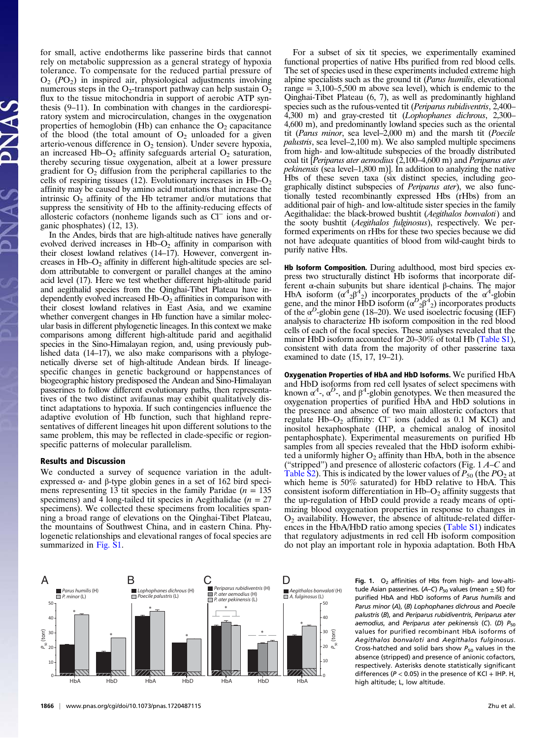for small, active endotherms like passerine birds that cannot rely on metabolic suppression as a general strategy of hypoxia tolerance. To compensate for the reduced partial pressure of  $O_2$  ( $PO_2$ ) in inspired air, physiological adjustments involving numerous steps in the  $O_2$ -transport pathway can help sustain  $O_2$ flux to the tissue mitochondria in support of aerobic ATP synthesis (9–11). In combination with changes in the cardiorespiratory system and microcirculation, changes in the oxygenation properties of hemoglobin (Hb) can enhance the  $O_2$  capacitance of the blood (the total amount of  $O_2$  unloaded for a given arterio-venous difference in  $O_2$  tension). Under severe hypoxia, an increased Hb– $O_2$  affinity safeguards arterial  $O_2$  saturation, thereby securing tissue oxygenation, albeit at a lower pressure gradient for  $O_2$  diffusion from the peripheral capillaries to the cells of respiring tissues (12). Evolutionary increases in  $Hb-O<sub>2</sub>$ affinity may be caused by amino acid mutations that increase the intrinsic  $O_2$  affinity of the Hb tetramer and/or mutations that suppress the sensitivity of Hb to the affinity-reducing effects of allosteric cofactors (nonheme ligands such as Cl<sup>−</sup> ions and organic phosphates) (12, 13).

In the Andes, birds that are high-altitude natives have generally evolved derived increases in  $Hb-O<sub>2</sub>$  affinity in comparison with their closest lowland relatives (14–17). However, convergent increases in  $Hb-O<sub>2</sub>$  affinity in different high-altitude species are seldom attributable to convergent or parallel changes at the amino acid level (17). Here we test whether different high-altitude parid and aegithalid species from the Qinghai-Tibet Plateau have independently evolved increased  $Hb-O<sub>2</sub>$  affinities in comparison with their closest lowland relatives in East Asia, and we examine whether convergent changes in Hb function have a similar molecular basis in different phylogenetic lineages. In this context we make comparisons among different high-altitude parid and aegithalid species in the Sino-Himalayan region, and, using previously published data (14–17), we also make comparisons with a phylogenetically diverse set of high-altitude Andean birds. If lineagespecific changes in genetic background or happenstances of biogeographic history predisposed the Andean and Sino-Himalayan passerines to follow different evolutionary paths, then representatives of the two distinct avifaunas may exhibit qualitatively distinct adaptations to hypoxia. If such contingencies influence the adaptive evolution of Hb function, such that highland representatives of different lineages hit upon different solutions to the same problem, this may be reflected in clade-specific or regionspecific patterns of molecular parallelism.

#### Results and Discussion

We conducted a survey of sequence variation in the adultexpressed  $\alpha$ - and β-type globin genes in a set of 162 bird specimens representing 13 tit species in the family Paridae ( $n = 135$ ) specimens) and 4 long-tailed tit species in Aegithalidae ( $n = 27$ specimens). We collected these specimens from localities spanning a broad range of elevations on the Qinghai-Tibet Plateau, the mountains of Southwest China, and in eastern China. Phylogenetic relationships and elevational ranges of focal species are summarized in [Fig. S1.](http://www.pnas.org/lookup/suppl/doi:10.1073/pnas.1720487115/-/DCSupplemental)

For a subset of six tit species, we experimentally examined functional properties of native Hbs purified from red blood cells. The set of species used in these experiments included extreme high alpine specialists such as the ground tit (*Parus humilis*, elevational range  $= 3,100-5,500$  m above sea level), which is endemic to the Qinghai-Tibet Plateau (6, 7), as well as predominantly highland species such as the rufous-vented tit (Periparus rubidiventris, 2,400– 4,300 m) and gray-crested tit (Lophophanes dichrous, 2,300– 4,600 m), and predominantly lowland species such as the oriental tit (Parus minor, sea level–2,000 m) and the marsh tit (Poecile palustris, sea level–2,100 m). We also sampled multiple specimens from high- and low-altitude subspecies of the broadly distributed coal tit [Periparus ater aemodius  $(2,100-4,600 \text{ m})$  and Periparus ater pekinensis (sea level–1,800 m)]. In addition to analyzing the native Hbs of these seven taxa (six distinct species, including geographically distinct subspecies of Periparus ater), we also functionally tested recombinantly expressed Hbs (rHbs) from an additional pair of high- and low-altitude sister species in the family Aegithalidae: the black-browed bushtit (Aegithalos bonvaloti) and the sooty bushtit (Aegithalos fulginosus), respectively. We performed experiments on rHbs for these two species because we did not have adequate quantities of blood from wild-caught birds to purify native Hbs.

Hb Isoform Composition. During adulthood, most bird species express two structurally distinct Hb isoforms that incorporate different α-chain subunits but share identical β-chains. The major HbA isoform  $(\alpha^4{}_{2}\beta^4{}_{2})$  incorporates products of the  $\alpha^4$ -globin gene, and the minor HbD isoform  $(\alpha^D_{2\beta}^A)^2$  incorporates products of the  $\alpha^D$ -globin gene (18–20). We used isoelectric focusing (IEF) analysis to characterize Hb isoform composition in the red blood cells of each of the focal species. These analyses revealed that the minor HbD isoform accounted for 20–30% of total Hb [\(Table S1\)](http://www.pnas.org/lookup/suppl/doi:10.1073/pnas.1720487115/-/DCSupplemental), consistent with data from the majority of other passerine taxa examined to date (15, 17, 19–21).

Oxygenation Properties of HbA and HbD Isoforms. We purified HbA and HbD isoforms from red cell lysates of select specimens with known  $\alpha^4$ -,  $\alpha^D$ -, and  $\beta^4$ -globin genotypes. We then measured the oxygenation properties of purified HbA and HbD solutions in the presence and absence of two main allosteric cofactors that regulate Hb–O<sub>2</sub> affinity: Cl<sup>−</sup> ions (added as 0.1 M KCl) and inositol hexaphosphate (IHP, a chemical analog of inositol pentaphosphate). Experimental measurements on purified Hb samples from all species revealed that the HbD isoform exhibited a uniformly higher  $O_2$  affinity than HbA, both in the absence ("stripped") and presence of allosteric cofactors (Fig.  $1A-C$  and [Table S2\)](http://www.pnas.org/lookup/suppl/doi:10.1073/pnas.1720487115/-/DCSupplemental). This is indicated by the lower values of  $P_{50}$  (the PO<sub>2</sub> at which heme is 50% saturated) for HbD relative to HbA. This consistent isoform differentiation in  $Hb-O<sub>2</sub>$  affinity suggests that the up-regulation of HbD could provide a ready means of optimizing blood oxygenation properties in response to changes in  $O<sub>2</sub>$  availability. However, the absence of altitude-related differences in the HbA/HbD ratio among species [\(Table S1](http://www.pnas.org/lookup/suppl/doi:10.1073/pnas.1720487115/-/DCSupplemental)) indicates that regulatory adjustments in red cell Hb isoform composition do not play an important role in hypoxia adaptation. Both HbA

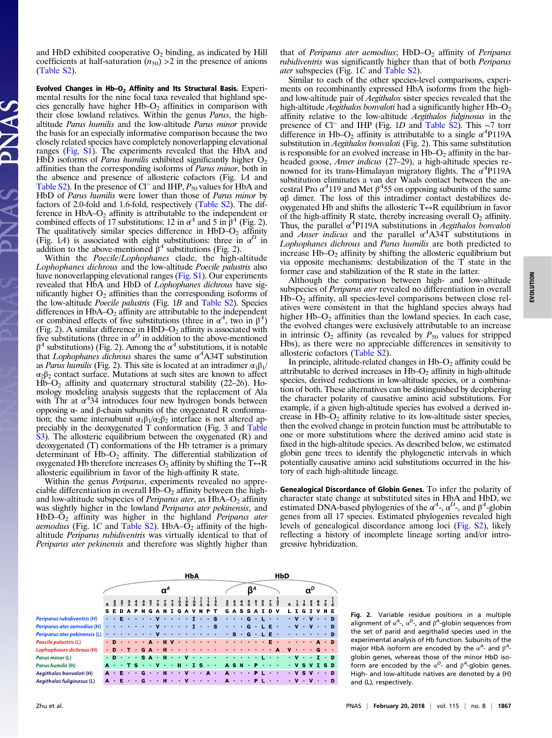and HbD exhibited cooperative  $O_2$  binding, as indicated by Hill coefficients at half-saturation  $(n_{50}) > 2$  in the presence of anions ([Table S2\)](http://www.pnas.org/lookup/suppl/doi:10.1073/pnas.1720487115/-/DCSupplemental).

Evolved Changes in  $Hb-O<sub>2</sub>$  Affinity and Its Structural Basis. Experimental results for the nine focal taxa revealed that highland species generally have higher  $Hb-O<sub>2</sub>$  affinities in comparison with their close lowland relatives. Within the genus Parus, the highaltitude Parus humilis and the low-altitude Parus minor provide the basis for an especially informative comparison because the two closely related species have completely nonoverlapping elevational ranges [\(Fig. S1\)](http://www.pnas.org/lookup/suppl/doi:10.1073/pnas.1720487115/-/DCSupplemental). The experiments revealed that the HbA and HbD isoforms of *Parus humilis* exhibited significantly higher  $O_2$ affinities than the corresponding isoforms of Parus minor, both in the absence and presence of allosteric cofactors (Fig. 1A and [Table S2\)](http://www.pnas.org/lookup/suppl/doi:10.1073/pnas.1720487115/-/DCSupplemental). In the presence of Cl<sup>−</sup> and IHP, P<sub>50</sub> values for HbA and HbD of *Parus humilis* were lower than those of *Parus minor* by factors of 2.0-fold and 1.6-fold, respectively [\(Table S2\)](http://www.pnas.org/lookup/suppl/doi:10.1073/pnas.1720487115/-/DCSupplemental). The difference in  $HbA-O<sub>2</sub>$  affinity is attributable to the independent or combined effects of 17 substitutions: 12 in  $\alpha^4$  and 5 in  $\beta^4$  (Fig. 2). The qualitatively similar species difference in  $HbD-O<sub>2</sub>$  affinity (Fig. 1A) is associated with eight substitutions: three in  $\alpha^D$  in addition to the above-mentioned  $\beta^4$  substitutions (Fig. 2).

Within the Poecile/Lophophanes clade, the high-altitude Lophophanes dichrous and the low-altitude Poecile palustris also have nonoverlapping elevational ranges ([Fig. S1\)](http://www.pnas.org/lookup/suppl/doi:10.1073/pnas.1720487115/-/DCSupplemental). Our experiments revealed that HbA and HbD of Lophophanes dichrous have significantly higher  $O_2$  affinities than the corresponding isoforms of the low-altitude Poecile palustris (Fig. 1B and [Table S2](http://www.pnas.org/lookup/suppl/doi:10.1073/pnas.1720487115/-/DCSupplemental)). Species differences in  $HbA-O_2$  affinity are attributable to the independent or combined effects of five substitutions (three in  $\alpha^4$ , two in  $\beta^4$ ) (Fig. 2). A similar difference in HbD–O<sub>2</sub> affinity is associated with five substitutions (three in  $\alpha^D$  in addition to the above-mentioned  $β<sup>4</sup>$  substitutions) (Fig. 2). Among the α<sup>4</sup> substitutions, it is notable that Lophophanes dichrous shares the same  $\alpha^4$ A34T substitution as Parus humilis (Fig. 2). This site is located at an intradimer  $\alpha_1\beta_1$ / α2β<sup>2</sup> contact surface. Mutations at such sites are known to affect  $Hb-O<sub>2</sub>$  affinity and quaternary structural stability (22–26). Homology modeling analysis suggests that the replacement of Ala with Thr at  $\alpha^4$ 34 introduces four new hydrogen bonds between opposing α- and β-chain subunits of the oxygenated R conformation; the same intersubunit  $\alpha_1\beta_1/\alpha_2\beta_2$  interface is not altered appreciably in the deoxygenated T conformation (Fig. 3 and [Table](http://www.pnas.org/lookup/suppl/doi:10.1073/pnas.1720487115/-/DCSupplemental) [S3](http://www.pnas.org/lookup/suppl/doi:10.1073/pnas.1720487115/-/DCSupplemental)). The allosteric equilibrium between the oxygenated (R) and deoxygenated (T) conformations of the Hb tetramer is a primary determinant of  $Hb-O<sub>2</sub>$  affinity. The differential stabilization of oxygenated Hb therefore increases  $O_2$  affinity by shifting the T $\leftrightarrow$ R allosteric equilibrium in favor of the high-affinity R state.

Within the genus *Periparus*, experiments revealed no appreciable differentiation in overall  $Hb-O<sub>2</sub>$  affinity between the highand low-altitude subspecies of *Periparus ater*, as  $HbA-O<sub>2</sub>$  affinity was slightly higher in the lowland *Periparus ater pekinensis*, and HbD–O<sub>2</sub> affinity was higher in the highland Periparus ater *aemodius* (Fig. 1C and [Table S2\)](http://www.pnas.org/lookup/suppl/doi:10.1073/pnas.1720487115/-/DCSupplemental). HbA– $\overline{O}_2$  affinity of the highaltitude Periparus rubidiventris was virtually identical to that of Periparus ater pekinensis and therefore was slightly higher than that of Periparus ater aemodius;  $HbD-O<sub>2</sub>$  affinity of Periparus rubidiventris was significantly higher than that of both Periparus ater subspecies (Fig. 1C and [Table S2\)](http://www.pnas.org/lookup/suppl/doi:10.1073/pnas.1720487115/-/DCSupplemental).

Similar to each of the other species-level comparisons, experiments on recombinantly expressed HbA isoforms from the highand low-altitude pair of Aegithalos sister species revealed that the high-altitude Aegithalos bonvaloti had a significantly higher  $Hb-O<sub>2</sub>$ affinity relative to the low-altitude Aegithalos fulginosus in the presence of Cl<sup>−</sup> and IHP (Fig. 1D and [Table S2\)](http://www.pnas.org/lookup/suppl/doi:10.1073/pnas.1720487115/-/DCSupplemental). This ∼7 torr difference in Hb–O<sub>2</sub> affinity is attributable to a single  $\alpha^4$ P119A substitution in Aegithalos bonvaloti (Fig. 2). This same substitution is responsible for an evolved increase in  $Hb-O<sub>2</sub>$  affinity in the barheaded goose, *Anser indicus* (27–29), a high-altitude species renowned for its trans-Himalayan migratory flights. The  $\alpha^4$ P119A substitution eliminates a van der Waals contact between the ancestral Pro  $\alpha^4$ 119 and Met  $\beta^4$ 55 on opposing subunits of the same αβ dimer. The loss of this intradimer contact destabilizes deoxygenated Hb and shifts the allosteric  $T \leftrightarrow R$  equilibrium in favor of the high-affinity R state, thereby increasing overall  $O_2$  affinity. Thus, the parallel  $\alpha^4$ P119A substitutions in *Aegithalos bonvaloti* and Anser indicus and the parallel  $\alpha^4$ A34T substitutions in Lophophanes dichrous and Parus humilis are both predicted to increase  $Hb-O<sub>2</sub>$  affinity by shifting the allosteric equilibrium but via opposite mechanisms: destabilization of the T state in the former case and stabilization of the R state in the latter.

Although the comparison between high- and low-altitude subspecies of Periparus ater revealed no differentiation in overall  $Hb-O<sub>2</sub>$  affinity, all species-level comparisons between close relatives were consistent in that the highland species always had higher  $Hb-O<sub>2</sub>$  affinities than the lowland species. In each case, the evolved changes were exclusively attributable to an increase in intrinsic  $O_2$  affinity (as revealed by  $P_{50}$  values for stripped Hbs), as there were no appreciable differences in sensitivity to allosteric cofactors [\(Table S2](http://www.pnas.org/lookup/suppl/doi:10.1073/pnas.1720487115/-/DCSupplemental)).

In principle, altitude-related changes in  $Hb-O<sub>2</sub>$  affinity could be attributable to derived increases in  $Hb-O<sub>2</sub>$  affinity in high-altitude species, derived reductions in low-altitude species, or a combination of both. These alternatives can be distinguished by deciphering the character polarity of causative amino acid substitutions. For example, if a given high-altitude species has evolved a derived increase in  $Hb-O<sub>2</sub>$  affinity relative to its low-altitude sister species, then the evolved change in protein function must be attributable to one or more substitutions where the derived amino acid state is fixed in the high-altitude species. As described below, we estimated globin gene trees to identify the phylogenetic intervals in which potentially causative amino acid substitutions occurred in the history of each high-altitude lineage.

Genealogical Discordance of Globin Genes. To infer the polarity of character state change at substituted sites in HbA and HbD, we estimated DNA-based phylogenies of the  $\alpha^4$ -,  $\alpha^D$ -, and  $\beta^4$ -globin genes from all 17 species. Estimated phylogenies revealed high levels of genealogical discordance among loci [\(Fig. S2](http://www.pnas.org/lookup/suppl/doi:10.1073/pnas.1720487115/-/DCSupplemental)), likely reflecting a history of incomplete lineage sorting and/or introgressive hybridization.



Fig. 2. Variable residue positions in a multiple alignment of  $\alpha^A$ -,  $\alpha^D$ -, and  $\beta^A$ -globin sequences from the set of parid and aegithalid species used in the experimental analysis of Hb function. Subunits of the major HbA isoform are encoded by the  $\alpha^A$ - and  $\beta^A$ globin genes, whereas those of the minor HbD isoform are encoded by the  $\alpha^{D}$ - and  $\beta^{A}$ -globin genes. High- and low-altitude natives are denoted by a (H) and (L), respectively.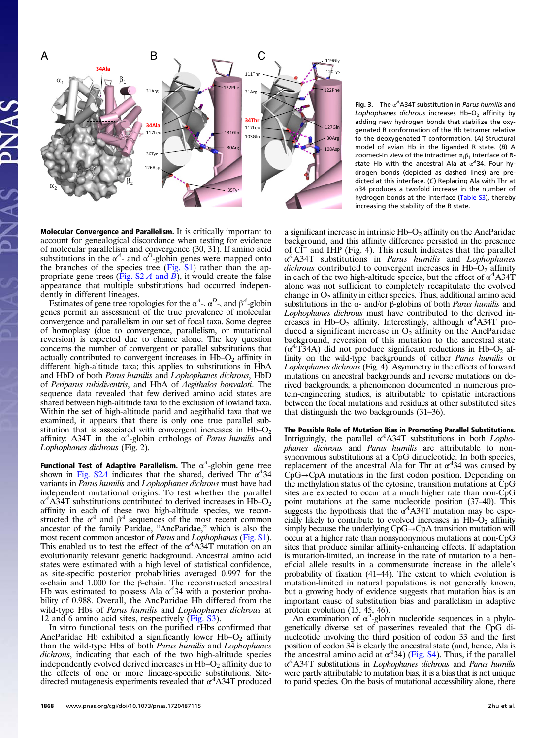

Molecular Convergence and Parallelism. It is critically important to account for genealogical discordance when testing for evidence of molecular parallelism and convergence (30, 31). If amino acid substitutions in the  $\alpha^4$ - and  $\alpha^D$ -globin genes were mapped onto the branches of the species tree  $(Fig. S1)$  $(Fig. S1)$  rather than the appropriate gene trees (Fig.  $S2 \, A$  and  $\overline{B}$ ), it would create the false appearance that multiple substitutions had occurred independently in different lineages.

Estimates of gene tree topologies for the  $\alpha^4$ -,  $\alpha^D$ -, and  $\beta^4$ -globin genes permit an assessment of the true prevalence of molecular convergence and parallelism in our set of focal taxa. Some degree of homoplasy (due to convergence, parallelism, or mutational reversion) is expected due to chance alone. The key question concerns the number of convergent or parallel substitutions that actually contributed to convergent increases in  $Hb-O<sub>2</sub>$  affinity in different high-altitude taxa; this applies to substitutions in HbA and HbD of both Parus humilis and Lophophanes dichrous, HbD of Periparus rubidiventris, and HbA of Aegithalos bonvaloti. The sequence data revealed that few derived amino acid states are shared between high-altitude taxa to the exclusion of lowland taxa. Within the set of high-altitude parid and aegithalid taxa that we examined, it appears that there is only one true parallel substitution that is associated with convergent increases in  $Hb-O<sub>2</sub>$ affinity: A34T in the  $\alpha^4$ -globin orthologs of *Parus humilis* and Lophophanes dichrous (Fig. 2).

Functional Test of Adaptive Parallelism. The  $\alpha^4$ -globin gene tree shown in [Fig. S2](http://www.pnas.org/lookup/suppl/doi:10.1073/pnas.1720487115/-/DCSupplemental)A indicates that the shared, derived Thr  $\alpha^4$ 34 variants in Parus humilis and Lophophanes dichrous must have had independent mutational origins. To test whether the parallel  $\alpha^4$ A34T substitutions contributed to derived increases in Hb–O<sub>2</sub> affinity in each of these two high-altitude species, we reconstructed the  $\alpha^4$  and  $\beta^4$  sequences of the most recent common ancestor of the family Paridae, "AncParidae," which is also the most recent common ancestor of Parus and Lophophanes [\(Fig. S1](http://www.pnas.org/lookup/suppl/doi:10.1073/pnas.1720487115/-/DCSupplemental)). This enabled us to test the effect of the  $\alpha^4$ A $\overrightarrow{3}$ 4T mutation on an evolutionarily relevant genetic background. Ancestral amino acid states were estimated with a high level of statistical confidence, as site-specific posterior probabilities averaged 0.997 for the α-chain and 1.000 for the β-chain. The reconstructed ancestral Hb was estimated to possess Ala  $\alpha$ <sup>4</sup>34 with a posterior probability of 0.988. Overall, the AncParidae Hb differed from the wild-type Hbs of Parus humilis and Lophophanes dichrous at 12 and 6 amino acid sites, respectively [\(Fig. S3](http://www.pnas.org/lookup/suppl/doi:10.1073/pnas.1720487115/-/DCSupplemental)).

In vitro functional tests on the purified rHbs confirmed that AncParidae Hb exhibited a significantly lower Hb– $O<sub>2</sub>$  affinity than the wild-type Hbs of both Parus humilis and Lophophanes dichrous, indicating that each of the two high-altitude species independently evolved derived increases in  $Hb-O<sub>2</sub>$  affinity due to the effects of one or more lineage-specific substitutions. Sitedirected mutagenesis experiments revealed that  $\alpha^4$ A34T produced

Fig. 3. The  $\alpha^A$ A34T substitution in Parus humilis and Lophophanes dichrous increases  $Hb-O<sub>2</sub>$  affinity by adding new hydrogen bonds that stabilize the oxygenated R conformation of the Hb tetramer relative to the deoxygenated T conformation. (A) Structural model of avian Hb in the liganded R state. (B) A zoomed-in view of the intradimer  $\alpha_1\beta_1$  interface of Rstate Hb with the ancestral Ala at  $\alpha^4$ 34. Four hydrogen bonds (depicted as dashed lines) are predicted at this interface. (C) Replacing Ala with Thr at α34 produces a twofold increase in the number of hydrogen bonds at the interface ([Table S3\)](http://www.pnas.org/lookup/suppl/doi:10.1073/pnas.1720487115/-/DCSupplemental), thereby increasing the stability of the R state.

a significant increase in intrinsic  $Hb-O<sub>2</sub>$  affinity on the AncParidae background, and this affinity difference persisted in the presence of Cl<sup>−</sup> and IHP (Fig. 4). This result indicates that the parallel  $\alpha^4$ A34T substitutions in Parus humilis and Lophophanes dichrous contributed to convergent increases in  $Hb-O<sub>2</sub>$  affinity in each of the two high-altitude species, but the effect of  $\alpha^4$ A34T alone was not sufficient to completely recapitulate the evolved change in  $O_2$  affinity in either species. Thus, additional amino acid substitutions in the  $\alpha$ - and/or  $\beta$ -globins of both *Parus humilis* and Lophophanes dichrous must have contributed to the derived increases in Hb–O<sub>2</sub> affinity. Interestingly, although  $\alpha^4$ A34T produced a significant increase in  $O_2$  affinity on the AncParidae background, reversion of this mutation to the ancestral state  $(\alpha^4$ T34A) did not produce significant reductions in Hb–O<sub>2</sub> affinity on the wild-type backgrounds of either Parus humilis or Lophophanes dichrous (Fig. 4). Asymmetry in the effects of forward mutations on ancestral backgrounds and reverse mutations on derived backgrounds, a phenomenon documented in numerous protein-engineering studies, is attributable to epistatic interactions between the focal mutations and residues at other substituted sites that distinguish the two backgrounds (31–36).

The Possible Role of Mutation Bias in Promoting Parallel Substitutions. Intriguingly, the parallel  $\alpha^4$ A34T substitutions in both *Lopho*phanes dichrous and Parus humilis are attributable to nonsynonymous substitutions at a CpG dinucleotide. In both species, replacement of the ancestral Ala for Thr at  $\alpha$ <sup>4</sup>34 was caused by CpG→CpA mutations in the first codon position. Depending on the methylation status of the cytosine, transition mutations at CpG sites are expected to occur at a much higher rate than non-CpG point mutations at the same nucleotide position (37–40). This suggests the hypothesis that the  $\alpha^4$ A34T mutation may be especially likely to contribute to evolved increases in  $Hb-O<sub>2</sub>$  affinity simply because the underlying CpG→CpA transition mutation will occur at a higher rate than nonsynonymous mutations at non-CpG sites that produce similar affinity-enhancing effects. If adaptation is mutation-limited, an increase in the rate of mutation to a beneficial allele results in a commensurate increase in the allele's probability of fixation (41–44). The extent to which evolution is mutation-limited in natural populations is not generally known, but a growing body of evidence suggests that mutation bias is an important cause of substitution bias and parallelism in adaptive

protein evolution (15, 45, 46).<br>An examination of  $\alpha^4$ -globin nucleotide sequences in a phylogenetically diverse set of passerines revealed that the CpG dinucleotide involving the third position of codon 33 and the first position of codon 34 is clearly the ancestral state (and, hence, Ala is the ancestral amino acid at  $\alpha^4$ 34) ([Fig. S4\)](http://www.pnas.org/lookup/suppl/doi:10.1073/pnas.1720487115/-/DCSupplemental). Thus, if the parallel  $\alpha^4$ A34T substitutions in *Lophophanes dichrous* and *Parus humilis* were partly attributable to mutation bias, it is a bias that is not unique to parid species. On the basis of mutational accessibility alone, there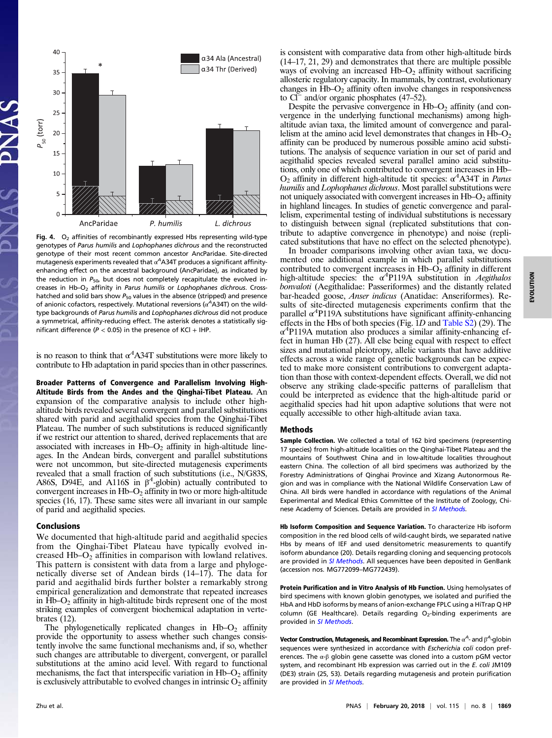

Fig. 4.  $O_2$  affinities of recombinantly expressed Hbs representing wild-type genotypes of Parus humilis and Lophophanes dichrous and the reconstructed genotype of their most recent common ancestor AncParidae. Site-directed mutagenesis experiments revealed that  $\alpha^A$ A34T produces a significant affinityenhancing effect on the ancestral background (AncParidae), as indicated by the reduction in  $P_{50}$ , but does not completely recapitulate the evolved increases in Hb-O<sub>2</sub> affinity in Parus humilis or Lophophanes dichrous. Crosshatched and solid bars show  $P_{50}$  values in the absence (stripped) and presence of anionic cofactors, respectively. Mutational reversions ( $\alpha^A$ A34T) on the wildtype backgrounds of Parus humilis and Lophophanes dichrous did not produce a symmetrical, affinity-reducing effect. The asterisk denotes a statistically significant difference ( $P < 0.05$ ) in the presence of KCl + IHP.

is no reason to think that  $\alpha^4$ A34T substitutions were more likely to contribute to Hb adaptation in parid species than in other passerines.

Broader Patterns of Convergence and Parallelism Involving High-Altitude Birds from the Andes and the Qinghai-Tibet Plateau. An expansion of the comparative analysis to include other highaltitude birds revealed several convergent and parallel substitutions shared with parid and aegithalid species from the Qinghai-Tibet Plateau. The number of such substitutions is reduced significantly if we restrict our attention to shared, derived replacements that are associated with increases in  $Hb-O<sub>2</sub>$  affinity in high-altitude lineages. In the Andean birds, convergent and parallel substitutions were not uncommon, but site-directed mutagenesis experiments revealed that a small fraction of such substitutions (i.e., N/G83S, A86S, D94E, and A116S in  $\beta^4$ -globin) actually contributed to convergent increases in Hb–O<sub>2</sub> affinity in two or more high-altitude species (16, 17). These same sites were all invariant in our sample of parid and aegithalid species.

### Conclusions

We documented that high-altitude parid and aegithalid species from the Qinghai-Tibet Plateau have typically evolved increased  $Hb-O<sub>2</sub>$  affinities in comparison with lowland relatives. This pattern is consistent with data from a large and phylogenetically diverse set of Andean birds (14–17). The data for parid and aegithalid birds further bolster a remarkably strong empirical generalization and demonstrate that repeated increases in  $Hb-O<sub>2</sub>$  affinity in high-altitude birds represent one of the most striking examples of convergent biochemical adaptation in vertebrates (12).

The phylogenetically replicated changes in  $Hb-O<sub>2</sub>$  affinity provide the opportunity to assess whether such changes consistently involve the same functional mechanisms and, if so, whether such changes are attributable to divergent, convergent, or parallel substitutions at the amino acid level. With regard to functional mechanisms, the fact that interspecific variation in  $Hb-O<sub>2</sub>$  affinity is exclusively attributable to evolved changes in intrinsic  $O_2$  affinity

is consistent with comparative data from other high-altitude birds (14–17, 21, 29) and demonstrates that there are multiple possible ways of evolving an increased  $Hb-O<sub>2</sub>$  affinity without sacrificing allosteric regulatory capacity. In mammals, by contrast, evolutionary changes in  $\text{Hb-O}_2$  affinity often involve changes in responsiveness to Cl<sup>−</sup> and/or organic phosphates (47–52).

Despite the pervasive convergence in  $Hb-O<sub>2</sub>$  affinity (and convergence in the underlying functional mechanisms) among highaltitude avian taxa, the limited amount of convergence and parallelism at the amino acid level demonstrates that changes in  $Hb-O<sub>2</sub>$ affinity can be produced by numerous possible amino acid substitutions. The analysis of sequence variation in our set of parid and aegithalid species revealed several parallel amino acid substitutions, only one of which contributed to convergent increases in Hb–  $O_2$  affinity in different high-altitude tit species:  $\alpha^4$ A34T in *Parus* humilis and Lophophanes dichrous. Most parallel substitutions were not uniquely associated with convergent increases in  $Hb-O<sub>2</sub>$  affinity in highland lineages. In studies of genetic convergence and parallelism, experimental testing of individual substitutions is necessary to distinguish between signal (replicated substitutions that contribute to adaptive convergence in phenotype) and noise (replicated substitutions that have no effect on the selected phenotype).

In broader comparisons involving other avian taxa, we documented one additional example in which parallel substitutions contributed to convergent increases in  $Hb-O<sub>2</sub>$  affinity in different high-altitude species: the  $\alpha^4$ P119A substitution in *Aegithalos* bonvaloti (Aegithalidae: Passeriformes) and the distantly related bar-headed goose, Anser indicus (Anatidae: Anseriformes). Results of site-directed mutagenesis experiments confirm that the parallel  $\alpha$ <sup>4</sup>P119A substitutions have significant affinity-enhancing effects in the Hbs of both species (Fig. 1D and [Table S2\)](http://www.pnas.org/lookup/suppl/doi:10.1073/pnas.1720487115/-/DCSupplemental) (29). The  $\alpha$ <sup>4</sup>P119A mutation also produces a similar affinity-enhancing effect in human Hb (27). All else being equal with respect to effect sizes and mutational pleiotropy, allelic variants that have additive effects across a wide range of genetic backgrounds can be expected to make more consistent contributions to convergent adaptation than those with context-dependent effects. Overall, we did not observe any striking clade-specific patterns of parallelism that could be interpreted as evidence that the high-altitude parid or aegithalid species had hit upon adaptive solutions that were not equally accessible to other high-altitude avian taxa.

#### Methods

Sample Collection. We collected a total of 162 bird specimens (representing 17 species) from high-altitude localities on the Qinghai-Tibet Plateau and the mountains of Southwest China and in low-altitude localities throughout eastern China. The collection of all bird specimens was authorized by the Forestry Administrations of Qinghai Province and Xizang Autonormous Region and was in compliance with the National Wildlife Conservation Law of China. All birds were handled in accordance with regulations of the Animal Experimental and Medical Ethics Committee of the Institute of Zoology, Chi-nese Academy of Sciences. Details are provided in [SI Methods](http://www.pnas.org/lookup/suppl/doi:10.1073/pnas.1720487115/-/DCSupplemental).

Hb Isoform Composition and Sequence Variation. To characterize Hb isoform composition in the red blood cells of wild-caught birds, we separated native Hbs by means of IEF and used densitometric measurements to quantify isoform abundance (20). Details regarding cloning and sequencing protocols are provided in [SI Methods](http://www.pnas.org/lookup/suppl/doi:10.1073/pnas.1720487115/-/DCSupplemental). All sequences have been deposited in GenBank (accession nos. MG772099–MG772439).

Protein Purification and in Vitro Analysis of Hb Function. Using hemolysates of bird specimens with known globin genotypes, we isolated and purified the HbA and HbD isoforms by means of anion-exchange FPLC using a HiTrap Q HP column (GE Healthcare). Details regarding  $O_2$ -binding experiments are provided in [SI Methods](http://www.pnas.org/lookup/suppl/doi:10.1073/pnas.1720487115/-/DCSupplemental).

**Vector Construction, Mutagenesis, and Recombinant Expression.** The  $\alpha^\mathsf{A}\text{-}$  and  $\beta^\mathsf{A}\text{-}\mathsf{global}$  in sequences were synthesized in accordance with Escherichia coli codon preferences. The  $\alpha$ - $\beta$  globin gene cassette was cloned into a custom pGM vector system, and recombinant Hb expression was carried out in the E. coli JM109 (DE3) strain (25, 53). Details regarding mutagenesis and protein purification are provided in [SI Methods](http://www.pnas.org/lookup/suppl/doi:10.1073/pnas.1720487115/-/DCSupplemental).